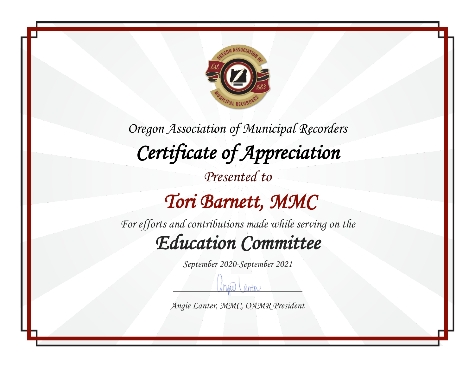

#### *Tori Barnett, MMC*

*For efforts and contributions made while serving on the Education Committee* 

*September 2020-September 2021*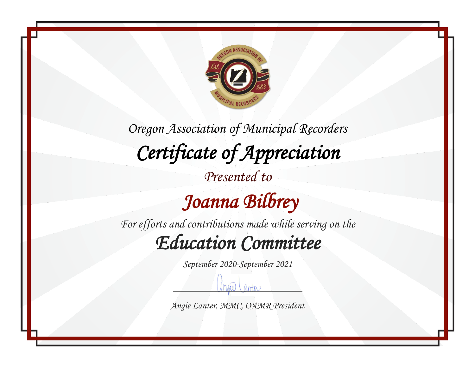

### *Joanna Bilbrey*

*For efforts and contributions made while serving on the Education Committee* 

*September 2020-September 2021*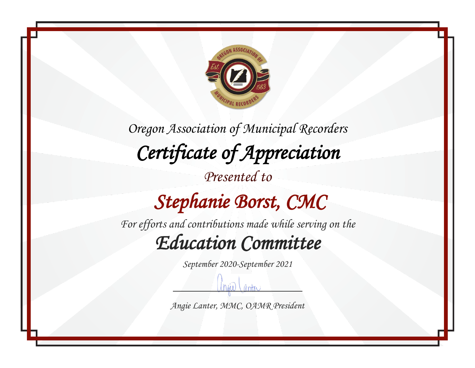

*Oregon Association of Municipal Recorders Certificate of Appreciation Presented to Stephanie Borst, CMC For efforts and contributions made while serving on the*

### *Education Committee*

*September 2020-September 2021*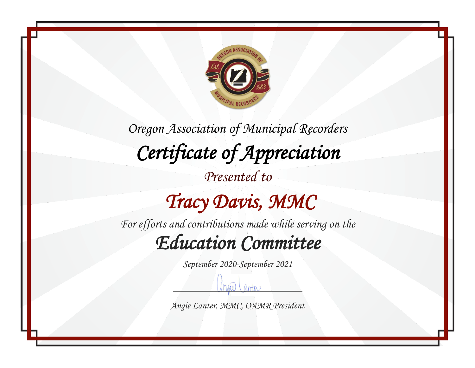

### *Tracy Davis, MMC*

*For efforts and contributions made while serving on the Education Committee* 

*September 2020-September 2021*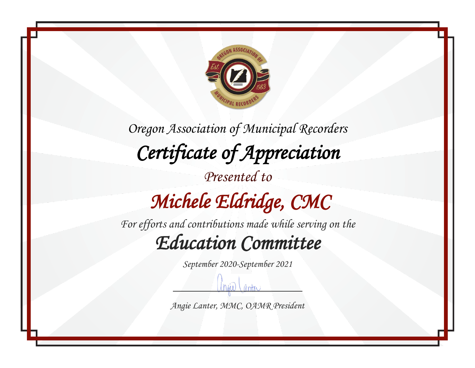

*Oregon Association of Municipal Recorders Certificate of Appreciation Presented to Michele Eldridge, CMC* 

*For efforts and contributions made while serving on the Education Committee* 

*September 2020-September 2021*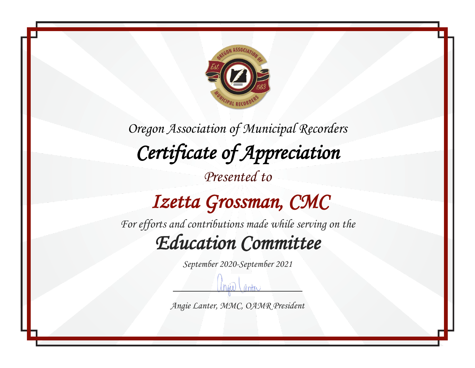

### *Izetta Grossman, CMC*

*For efforts and contributions made while serving on the Education Committee* 

*September 2020-September 2021*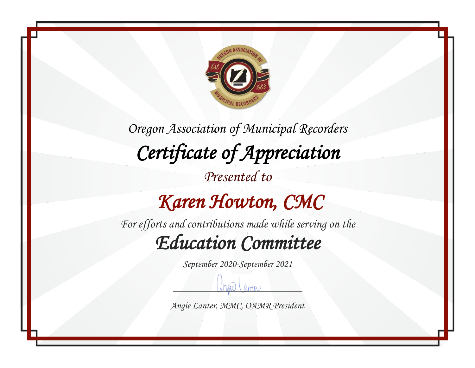

#### *Karen Howton, CMC*

*For efforts and contributions made while serving on the Education Committee* 

*September 2020-September 2021*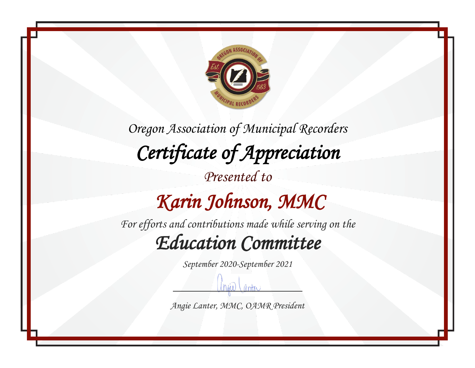

*Oregon Association of Municipal Recorders Certificate of Appreciation Presented to Karin Johnson, MMC* 

*For efforts and contributions made while serving on the Education Committee* 

*September 2020-September 2021*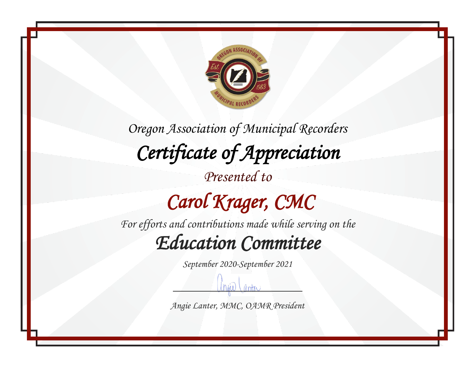

# *Carol Krager, CMC*

*For efforts and contributions made while serving on the Education Committee* 

*September 2020-September 2021*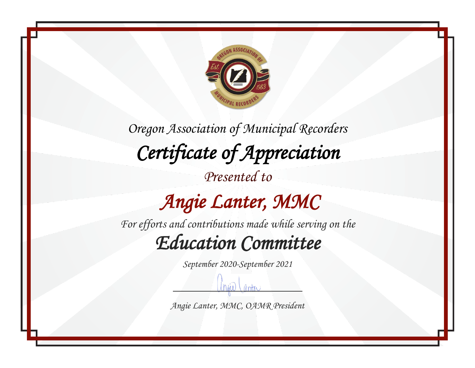

*Presented to*

## *Angie Lanter, MMC*

*For efforts and contributions made while serving on the Education Committee* 

*September 2020-September 2021*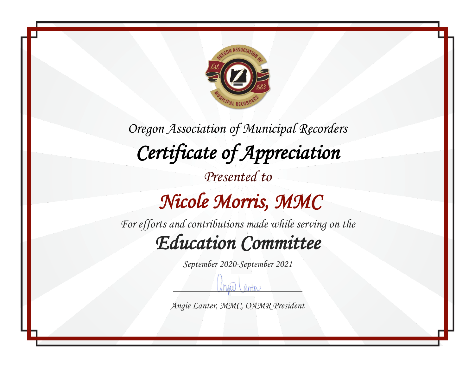

*Oregon Association of Municipal Recorders Certificate of Appreciation Presented to Nicole Morris, MMC* 

*For efforts and contributions made while serving on the Education Committee* 

*September 2020-September 2021*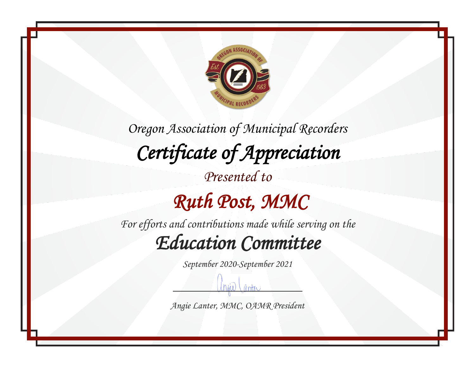

*For efforts and contributions made while serving on the Education Committee* 

*September 2020-September 2021*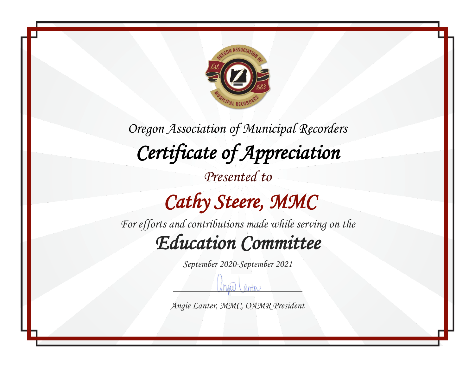

# *Cathy Steere, MMC*

*For efforts and contributions made while serving on the Education Committee* 

*September 2020-September 2021*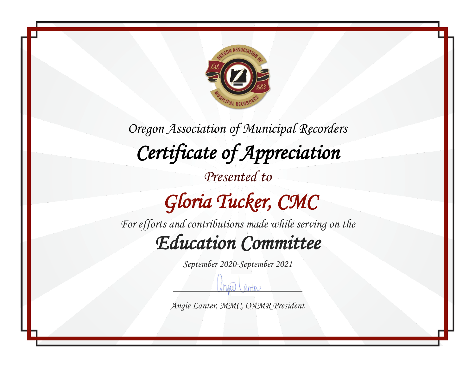

*Oregon Association of Municipal Recorders Certificate of Appreciation Presented to Gloria Tucker, CMC* 

*For efforts and contributions made while serving on the Education Committee* 

*September 2020-September 2021*